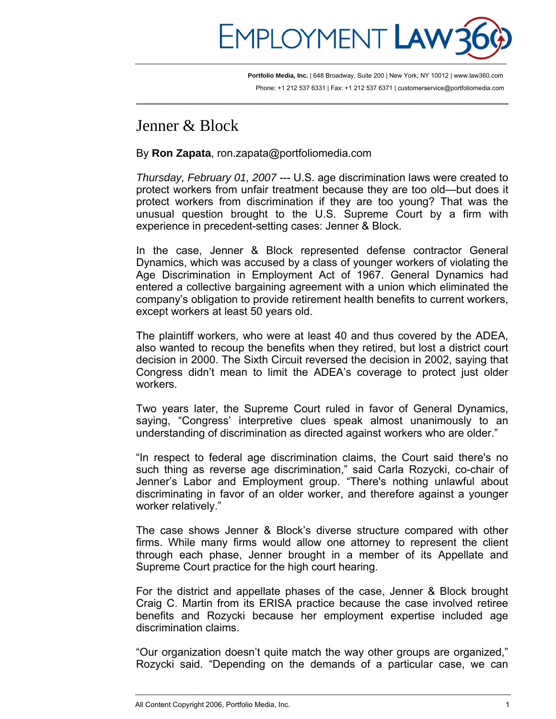

 $\overline{\phantom{a}}$  , and the contribution of the contribution of the contribution of the contribution of the contribution of  $\overline{\phantom{a}}$ 

**Portfolio Media, Inc.** | 648 Broadway, Suite 200 | New York, NY 10012 | www.law360.com Phone: +1 212 537 6331 | Fax: +1 212 537 6371 | customerservice@portfoliomedia.com

## Jenner & Block

By **Ron Zapata**, [ron.zapata@portfoliomedia.com](mailto:ron.zapata@portfoliomedia.com)

*Thursday, February 01, 2007* --- U.S. age discrimination laws were created to protect workers from unfair treatment because they are too old—but does it protect workers from discrimination if they are too young? That was the unusual question brought to the U.S. Supreme Court by a firm with experience in precedent-setting cases: Jenner & Block.

In the case, Jenner & Block represented defense contractor General Dynamics, which was accused by a class of younger workers of violating the Age Discrimination in Employment Act of 1967. General Dynamics had entered a collective bargaining agreement with a union which eliminated the company's obligation to provide retirement health benefits to current workers, except workers at least 50 years old.

The plaintiff workers, who were at least 40 and thus covered by the ADEA, also wanted to recoup the benefits when they retired, but lost a district court decision in 2000. The Sixth Circuit reversed the decision in 2002, saying that Congress didn't mean to limit the ADEA's coverage to protect just older workers.

Two years later, the Supreme Court ruled in favor of General Dynamics, saying, "Congress' interpretive clues speak almost unanimously to an understanding of discrimination as directed against workers who are older."

"In respect to federal age discrimination claims, the Court said there's no such thing as reverse age discrimination," said Carla Rozycki, co-chair of Jenner's Labor and Employment group. "There's nothing unlawful about discriminating in favor of an older worker, and therefore against a younger worker relatively."

The case shows Jenner & Block's diverse structure compared with other firms. While many firms would allow one attorney to represent the client through each phase, Jenner brought in a member of its Appellate and Supreme Court practice for the high court hearing.

For the district and appellate phases of the case, Jenner & Block brought Craig C. Martin from its ERISA practice because the case involved retiree benefits and Rozycki because her employment expertise included age discrimination claims.

"Our organization doesn't quite match the way other groups are organized," Rozycki said. "Depending on the demands of a particular case, we can

\_\_\_\_\_\_\_\_\_\_\_\_\_\_\_\_\_\_\_\_\_\_\_\_\_\_\_\_\_\_\_\_\_\_\_\_\_\_\_\_\_\_\_\_\_\_\_\_\_\_\_\_\_\_\_\_\_\_\_\_\_\_\_\_\_\_\_\_\_\_\_\_\_\_\_\_\_\_\_\_\_\_\_\_\_\_\_\_\_\_\_\_\_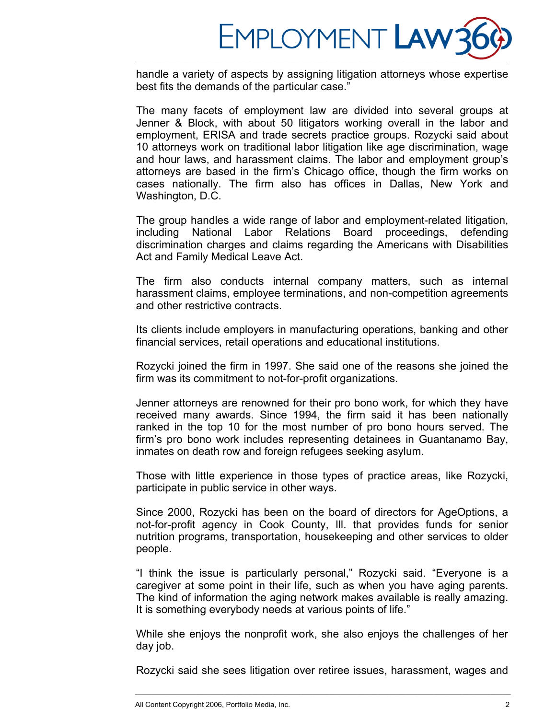

handle a variety of aspects by assigning litigation attorneys whose expertise best fits the demands of the particular case."

The many facets of employment law are divided into several groups at Jenner & Block, with about 50 litigators working overall in the labor and employment, ERISA and trade secrets practice groups. Rozycki said about 10 attorneys work on traditional labor litigation like age discrimination, wage and hour laws, and harassment claims. The labor and employment group's attorneys are based in the firm's Chicago office, though the firm works on cases nationally. The firm also has offices in Dallas, New York and Washington, D.C.

The group handles a wide range of labor and employment-related litigation, including National Labor Relations Board proceedings, defending discrimination charges and claims regarding the Americans with Disabilities Act and Family Medical Leave Act.

The firm also conducts internal company matters, such as internal harassment claims, employee terminations, and non-competition agreements and other restrictive contracts.

Its clients include employers in manufacturing operations, banking and other financial services, retail operations and educational institutions.

Rozycki joined the firm in 1997. She said one of the reasons she joined the firm was its commitment to not-for-profit organizations.

Jenner attorneys are renowned for their pro bono work, for which they have received many awards. Since 1994, the firm said it has been nationally ranked in the top 10 for the most number of pro bono hours served. The firm's pro bono work includes representing detainees in Guantanamo Bay, inmates on death row and foreign refugees seeking asylum.

Those with little experience in those types of practice areas, like Rozycki, participate in public service in other ways.

Since 2000, Rozycki has been on the board of directors for AgeOptions, a not-for-profit agency in Cook County, Ill. that provides funds for senior nutrition programs, transportation, housekeeping and other services to older people.

"I think the issue is particularly personal," Rozycki said. "Everyone is a caregiver at some point in their life, such as when you have aging parents. The kind of information the aging network makes available is really amazing. It is something everybody needs at various points of life."

While she enjoys the nonprofit work, she also enjoys the challenges of her day job.

Rozycki said she sees litigation over retiree issues, harassment, wages and

\_\_\_\_\_\_\_\_\_\_\_\_\_\_\_\_\_\_\_\_\_\_\_\_\_\_\_\_\_\_\_\_\_\_\_\_\_\_\_\_\_\_\_\_\_\_\_\_\_\_\_\_\_\_\_\_\_\_\_\_\_\_\_\_\_\_\_\_\_\_\_\_\_\_\_\_\_\_\_\_\_\_\_\_\_\_\_\_\_\_\_\_\_